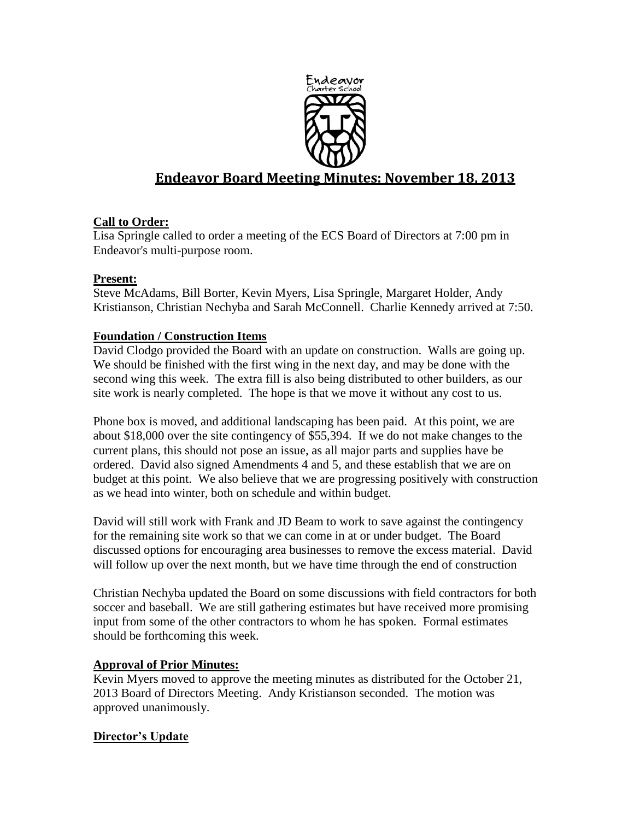

# **Endeavor Board Meeting Minutes: November 18, 2013**

## **Call to Order:**

Lisa Springle called to order a meeting of the ECS Board of Directors at 7:00 pm in Endeavor's multi-purpose room.

## **Present:**

Steve McAdams, Bill Borter, Kevin Myers, Lisa Springle, Margaret Holder, Andy Kristianson, Christian Nechyba and Sarah McConnell. Charlie Kennedy arrived at 7:50.

## **Foundation / Construction Items**

David Clodgo provided the Board with an update on construction. Walls are going up. We should be finished with the first wing in the next day, and may be done with the second wing this week. The extra fill is also being distributed to other builders, as our site work is nearly completed. The hope is that we move it without any cost to us.

Phone box is moved, and additional landscaping has been paid. At this point, we are about \$18,000 over the site contingency of \$55,394. If we do not make changes to the current plans, this should not pose an issue, as all major parts and supplies have be ordered. David also signed Amendments 4 and 5, and these establish that we are on budget at this point. We also believe that we are progressing positively with construction as we head into winter, both on schedule and within budget.

David will still work with Frank and JD Beam to work to save against the contingency for the remaining site work so that we can come in at or under budget. The Board discussed options for encouraging area businesses to remove the excess material. David will follow up over the next month, but we have time through the end of construction

Christian Nechyba updated the Board on some discussions with field contractors for both soccer and baseball. We are still gathering estimates but have received more promising input from some of the other contractors to whom he has spoken. Formal estimates should be forthcoming this week.

## **Approval of Prior Minutes:**

Kevin Myers moved to approve the meeting minutes as distributed for the October 21, 2013 Board of Directors Meeting. Andy Kristianson seconded. The motion was approved unanimously.

## **Director's Update**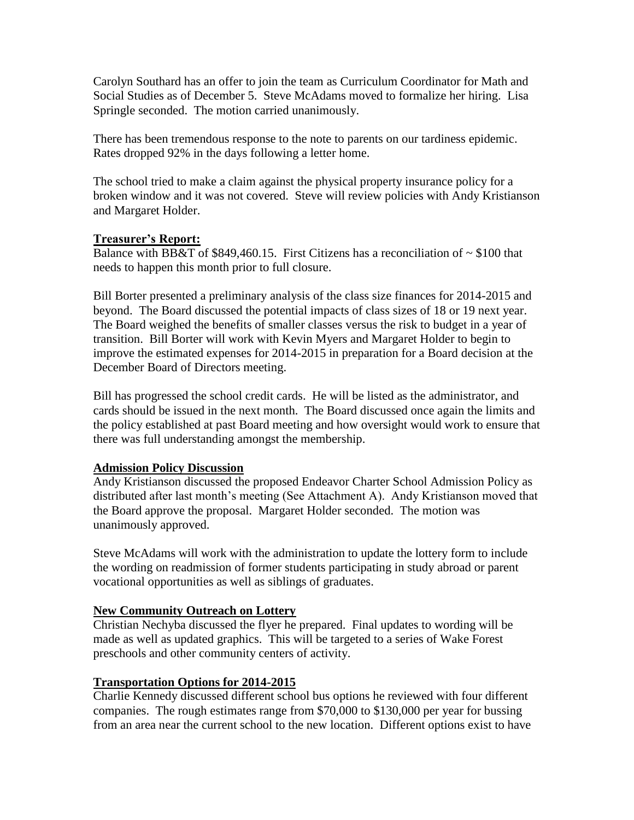Carolyn Southard has an offer to join the team as Curriculum Coordinator for Math and Social Studies as of December 5. Steve McAdams moved to formalize her hiring. Lisa Springle seconded. The motion carried unanimously.

There has been tremendous response to the note to parents on our tardiness epidemic. Rates dropped 92% in the days following a letter home.

The school tried to make a claim against the physical property insurance policy for a broken window and it was not covered. Steve will review policies with Andy Kristianson and Margaret Holder.

## **Treasurer's Report:**

Balance with BB&T of \$849,460.15. First Citizens has a reconciliation of  $\sim$  \$100 that needs to happen this month prior to full closure.

Bill Borter presented a preliminary analysis of the class size finances for 2014-2015 and beyond. The Board discussed the potential impacts of class sizes of 18 or 19 next year. The Board weighed the benefits of smaller classes versus the risk to budget in a year of transition. Bill Borter will work with Kevin Myers and Margaret Holder to begin to improve the estimated expenses for 2014-2015 in preparation for a Board decision at the December Board of Directors meeting.

Bill has progressed the school credit cards. He will be listed as the administrator, and cards should be issued in the next month. The Board discussed once again the limits and the policy established at past Board meeting and how oversight would work to ensure that there was full understanding amongst the membership.

#### **Admission Policy Discussion**

Andy Kristianson discussed the proposed Endeavor Charter School Admission Policy as distributed after last month's meeting (See Attachment A). Andy Kristianson moved that the Board approve the proposal. Margaret Holder seconded. The motion was unanimously approved.

Steve McAdams will work with the administration to update the lottery form to include the wording on readmission of former students participating in study abroad or parent vocational opportunities as well as siblings of graduates.

## **New Community Outreach on Lottery**

Christian Nechyba discussed the flyer he prepared. Final updates to wording will be made as well as updated graphics. This will be targeted to a series of Wake Forest preschools and other community centers of activity.

## **Transportation Options for 2014-2015**

Charlie Kennedy discussed different school bus options he reviewed with four different companies. The rough estimates range from \$70,000 to \$130,000 per year for bussing from an area near the current school to the new location. Different options exist to have